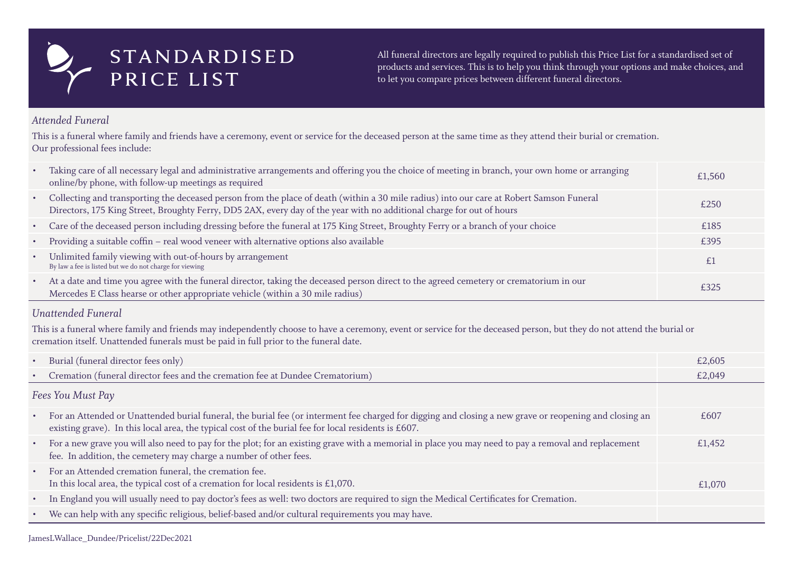## *Attended Funeral*

This is a funeral where family and friends have a ceremony, event or service for the deceased person at the same time as they attend their burial or cremation. Our professional fees include:

- Taking care of all necessary legal and administrative arrangements and offering you the choice of meeting in branch, your own home or arr online/by phone, with follow-up meetings as required
- Collecting and transporting the deceased person from the place of death (within a 30 mile radius) into our care at Robert Samson Funeral Directors, 175 King Street, Broughty Ferry, DD5 2AX, every day of the year with no additional charge for out of hours
- Care of the deceased person including dressing before the funeral at 175 King Street, Broughty Ferry or a branch of your choice
- Providing a suitable coffin real wood veneer with alternative options also available
- Unlimited family viewing with out-of-hours by arrangement By law a fee is listed but we do not charge for viewing
- At a date and time you agree with the funeral director, taking the deceased person direct to the agreed cemetery or crematorium in our Mercedes E Class hearse or other appropriate vehicle (within a 30 mile radius)

| ranging | £1,560 |
|---------|--------|
|         | £250   |
|         | £185   |
|         | £395   |
|         | £1     |
|         | £325   |

# *Unattended Funeral*

This is a funeral where family and friends may independently choose to have a ceremony, event or service for the deceased person, but they do not attend the burial or cremation itself. Unattended funerals must be paid in full prior to the funeral date.

- Burial (funeral director fees only)
- Cremation (funeral director fees and the cremation fee at Dundee Crematorium)

# *Fees You Must Pay*

|               | £2,605 |
|---------------|--------|
|               | £2,049 |
|               |        |
| nd closing an | £607   |
| placement     | £1,452 |
|               | £1,070 |
|               |        |
|               |        |

- For an Attended or Unattended burial funeral, the burial fee (or interment fee charged for digging and closing a new grave or reopening and closing an existing grave). In this local area, the typical cost of the burial fee for local residents is £607.
- For a new grave you will also need to pay for the plot; for an existing grave with a memorial in place you may need to pay a removal and rep fee. In addition, the cemetery may charge a number of other fees.
- For an Attended cremation funeral, the cremation fee. In this local area, the typical cost of a cremation for local residents is  $£1,070$ .
- In England you will usually need to pay doctor's fees as well: two doctors are required to sign the Medical Certificates for Cremation.
- We can help with any specific religious, belief-based and/or cultural requirements you may have.

All funeral directors are legally required to publish this Price List for a standardised set of products and services. This is to help you think through your options and make choices, and to let you compare prices between different funeral directors.

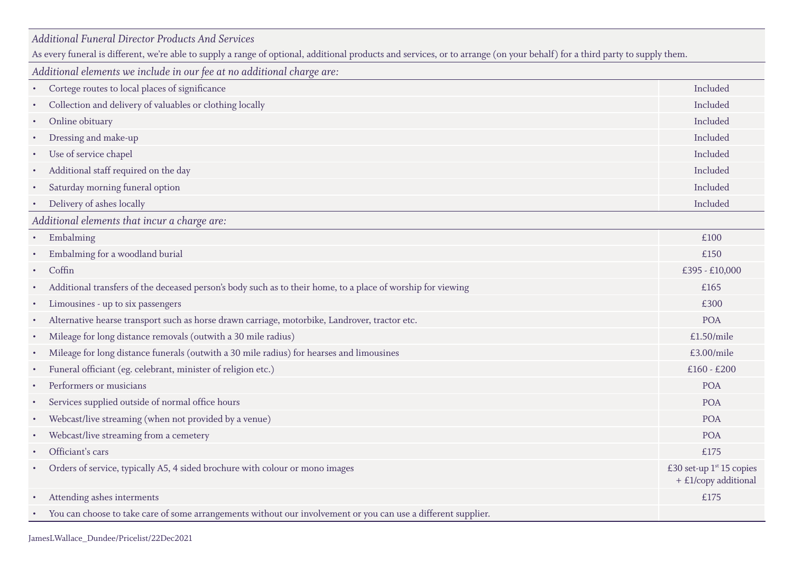# *Additional Funeral Director Products And Services*

As every funeral is different, we're able to supply a range of optional, additional products and services, or to arrange (on your behalf) for a third party to supply them.

*Additional elements we include in our fee at no additional charge are:*

- Cortege routes to local places of significance
- Collection and delivery of valuables or clothing locally
- Online obituary Included
- Dressing and make-up
- Use of service chapel
- Additional staff required on the day
- Saturday morning funeral option
- Delivery of ashes locally

*Additional elements that incur a charge are:*

- $\blacksquare$  Embalming  $\blacksquare$
- Embalming for a woodland burial
- 
- Additional transfers of the deceased person's body such as to their home, to a place of worship for viewing
- Limousines up to six passengers
- Alternative hearse transport such as horse drawn carriage, motorbike, Landrover, tractor etc.
- Mileage for long distance removals (outwith a 30 mile radius)
- Mileage for long distance funerals (outwith a 30 mile radius) for hearses and limousines
- Funeral officiant (eg. celebrant, minister of religion etc.)
- Performers or musicians
- Services supplied outside of normal office hours
- Webcast/live streaming (when not provided by a venue)
- Webcast/live streaming from a cemetery
- Officiant's cars  $£175$
- Orders of service, typically A5, 4 sided brochure with colour or mono images
- Attending ashes interments
- You can choose to take care of some arrangements without our involvement or you can use a different supplier.

| $\bullet$ | Embalming                                                                                                   | £100                                                  |
|-----------|-------------------------------------------------------------------------------------------------------------|-------------------------------------------------------|
|           | Embalming for a woodland burial                                                                             | £150                                                  |
| $\bullet$ | Coffin                                                                                                      | £395 - £10,000                                        |
|           | Additional transfers of the deceased person's body such as to their home, to a place of worship for viewing | £165                                                  |
| $\bullet$ | Limousines - up to six passengers                                                                           | £300                                                  |
| $\bullet$ | Alternative hearse transport such as horse drawn carriage, motorbike, Landrover, tractor etc.               | <b>POA</b>                                            |
| $\bullet$ | Mileage for long distance removals (outwith a 30 mile radius)                                               | £1.50/mile                                            |
| $\bullet$ | Mileage for long distance funerals (outwith a 30 mile radius) for hearses and limousines                    | £3.00/mile                                            |
| $\bullet$ | Funeral officiant (eg. celebrant, minister of religion etc.)                                                | $£160 - £200$                                         |
|           | Performers or musicians                                                                                     | <b>POA</b>                                            |
|           | Services supplied outside of normal office hours                                                            | <b>POA</b>                                            |
|           | Webcast/live streaming (when not provided by a venue)                                                       | <b>POA</b>                                            |
|           | Webcast/live streaming from a cemetery                                                                      | <b>POA</b>                                            |
| $\bullet$ | Officiant's cars                                                                                            | £175                                                  |
|           | Orders of service, typically A5, 4 sided brochure with colour or mono images                                | £30 set-up $1^{st}$ 15 copies<br>+ £1/copy additional |
|           | Attending ashes interments                                                                                  | £175                                                  |
|           |                                                                                                             |                                                       |

| Included |
|----------|
| Included |
| Included |
| Included |
| Included |
| Included |
| Included |
| Included |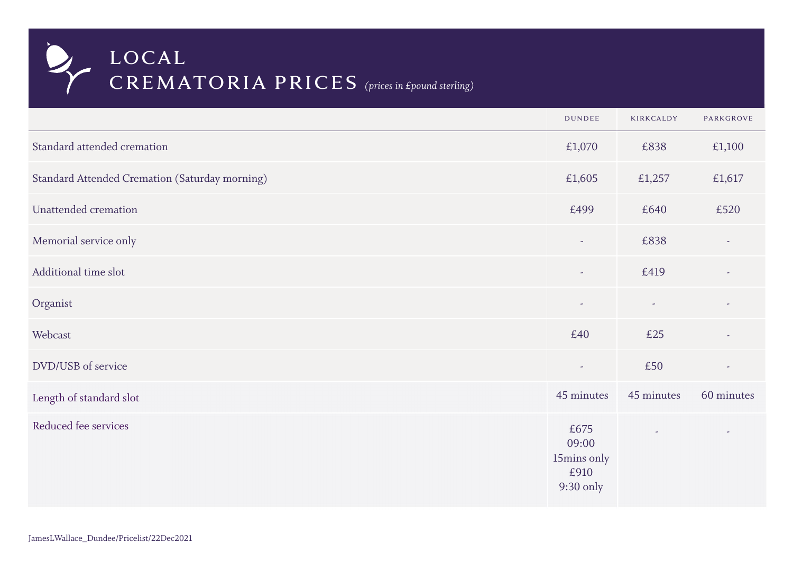|                                                       | <b>DUNDEE</b>                                     | KIRKCALDY                | <b>PARKGROVE</b>         |
|-------------------------------------------------------|---------------------------------------------------|--------------------------|--------------------------|
| Standard attended cremation                           | £1,070                                            | £838                     | £1,100                   |
| <b>Standard Attended Cremation (Saturday morning)</b> | £1,605                                            | £1,257                   | £1,617                   |
| Unattended cremation                                  | £499                                              | £640                     | £520                     |
| Memorial service only                                 | $\overline{\phantom{a}}$                          | £838                     |                          |
| Additional time slot                                  | $\sim$                                            | £419                     |                          |
| Organist                                              | $\sim$                                            | $\overline{\phantom{a}}$ |                          |
| Webcast                                               | £40                                               | £25                      | $\overline{\phantom{a}}$ |
| DVD/USB of service                                    | $\overline{\phantom{a}}$                          | £50                      | $\overline{\phantom{a}}$ |
| Length of standard slot                               | 45 minutes                                        | 45 minutes               | 60 minutes               |
| Reduced fee services                                  | £675<br>09:00<br>15mins only<br>£910<br>9:30 only |                          |                          |